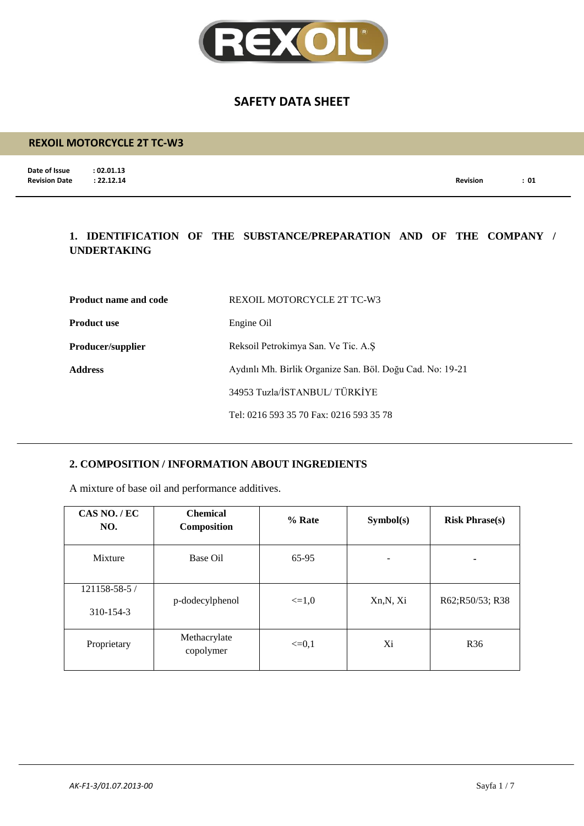

## **REXOIL MOTORCYCLE 2T TC-W3**

**Date of Issue : 02.01.13**<br>**Revision Date : 22.12.14** 

**Revision Date : 22.12.14 Revision : 01**

## **1. IDENTIFICATION OF THE SUBSTANCE/PREPARATION AND OF THE COMPANY / UNDERTAKING**

| <b>Product name and code</b> | REXOIL MOTORCYCLE 2T TC-W3                                |
|------------------------------|-----------------------------------------------------------|
| <b>Product use</b>           | Engine Oil                                                |
| <b>Producer/supplier</b>     | Reksoil Petrokimya San. Ve Tic. A.S.                      |
| <b>Address</b>               | Aydınlı Mh. Birlik Organize San. Böl. Doğu Cad. No: 19-21 |
|                              | 34953 Tuzla/İSTANBUL/TÜRKİYE                              |
|                              | Tel: 0216 593 35 70 Fax: 0216 593 35 78                   |

## **2. COMPOSITION / INFORMATION ABOUT INGREDIENTS**

A mixture of base oil and performance additives.

| CAS NO./EC<br>NO.          | <b>Chemical</b><br><b>Composition</b> | % Rate     | Symbol(s) | <b>Risk Phrase(s)</b> |
|----------------------------|---------------------------------------|------------|-----------|-----------------------|
| Mixture                    | Base Oil                              | 65-95      |           | -                     |
| 121158-58-5 /<br>310-154-3 | p-dodecylphenol                       | $\leq 1.0$ | Xn, N, Xi | R62;R50/53; R38       |
| Proprietary                | Methacrylate<br>copolymer             | $\leq=0,1$ | Xi        | R <sub>36</sub>       |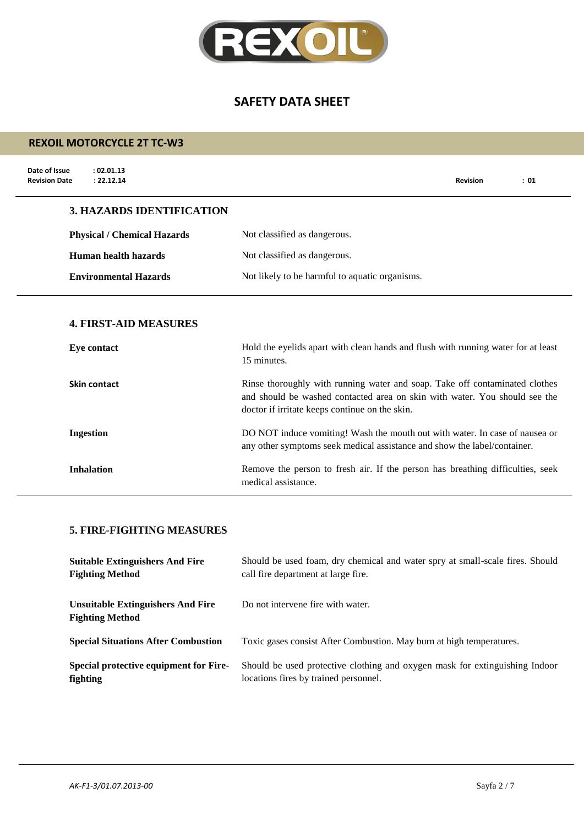

## **REXOIL MOTORCYCLE 2T TC-W3**

| Date of Issue<br>: 02.01.13<br>: 22.12.14<br><b>Revision Date</b> |                                                                                                                                                                                                             | <b>Revision</b> | : 01 |
|-------------------------------------------------------------------|-------------------------------------------------------------------------------------------------------------------------------------------------------------------------------------------------------------|-----------------|------|
| <b>3. HAZARDS IDENTIFICATION</b>                                  |                                                                                                                                                                                                             |                 |      |
| <b>Physical / Chemical Hazards</b>                                | Not classified as dangerous.                                                                                                                                                                                |                 |      |
| <b>Human health hazards</b>                                       | Not classified as dangerous.                                                                                                                                                                                |                 |      |
| <b>Environmental Hazards</b>                                      | Not likely to be harmful to aquatic organisms.                                                                                                                                                              |                 |      |
| <b>4. FIRST-AID MEASURES</b><br><b>Eye contact</b>                | Hold the eyelids apart with clean hands and flush with running water for at least<br>15 minutes.                                                                                                            |                 |      |
| Skin contact                                                      | Rinse thoroughly with running water and soap. Take off contaminated clothes<br>and should be washed contacted area on skin with water. You should see the<br>doctor if irritate keeps continue on the skin. |                 |      |
| <b>Ingestion</b>                                                  | DO NOT induce vomiting! Wash the mouth out with water. In case of nausea or<br>any other symptoms seek medical assistance and show the label/container.                                                     |                 |      |
| <b>Inhalation</b>                                                 | Remove the person to fresh air. If the person has breathing difficulties, seek                                                                                                                              |                 |      |

medical assistance.

#### **5. FIRE-FIGHTING MEASURES**

| <b>Suitable Extinguishers And Fire</b>                             | Should be used foam, dry chemical and water spry at small-scale fires. Should |
|--------------------------------------------------------------------|-------------------------------------------------------------------------------|
| <b>Fighting Method</b>                                             | call fire department at large fire.                                           |
| <b>Unsuitable Extinguishers And Fire</b><br><b>Fighting Method</b> | Do not intervene fire with water.                                             |
| <b>Special Situations After Combustion</b>                         | Toxic gases consist After Combustion. May burn at high temperatures.          |
| Special protective equipment for Fire-                             | Should be used protective clothing and oxygen mask for extinguishing Indoor   |
| fighting                                                           | locations fires by trained personnel.                                         |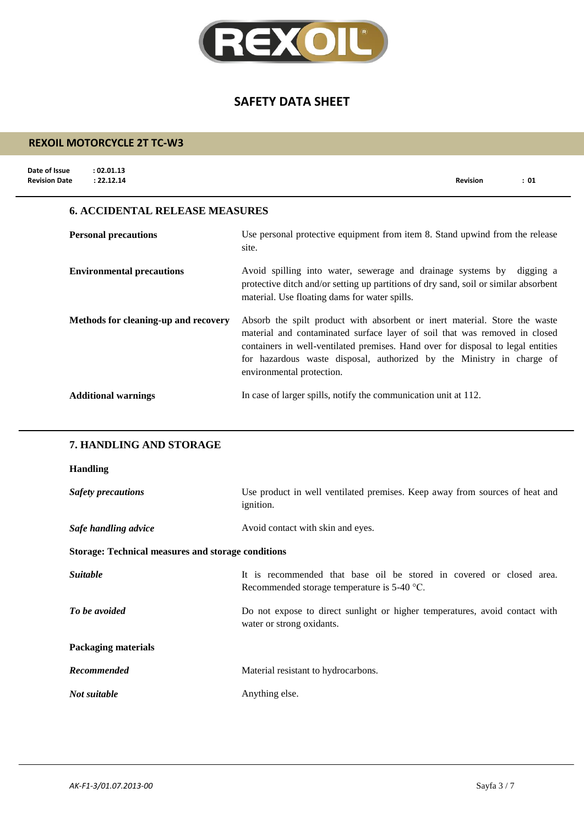

## **REXOIL MOTORCYCLE 2T TC-W3**

| Date of Issue<br><b>Revision Date</b> | : 02.01.13<br>: 22.12.14              |                                                                                                                                                                                                                                                                                                                                                    | <b>Revision</b> | : 01 |
|---------------------------------------|---------------------------------------|----------------------------------------------------------------------------------------------------------------------------------------------------------------------------------------------------------------------------------------------------------------------------------------------------------------------------------------------------|-----------------|------|
|                                       | <b>6. ACCIDENTAL RELEASE MEASURES</b> |                                                                                                                                                                                                                                                                                                                                                    |                 |      |
|                                       | <b>Personal precautions</b>           | Use personal protective equipment from item 8. Stand upwind from the release<br>site.                                                                                                                                                                                                                                                              |                 |      |
|                                       | <b>Environmental precautions</b>      | Avoid spilling into water, sewerage and drainage systems by digging a<br>protective ditch and/or setting up partitions of dry sand, soil or similar absorbent<br>material. Use floating dams for water spills.                                                                                                                                     |                 |      |
|                                       | Methods for cleaning-up and recovery  | Absorb the spilt product with absorbent or inert material. Store the waste<br>material and contaminated surface layer of soil that was removed in closed<br>containers in well-ventilated premises. Hand over for disposal to legal entities<br>for hazardous waste disposal, authorized by the Ministry in charge of<br>environmental protection. |                 |      |
|                                       | <b>Additional warnings</b>            | In case of larger spills, notify the communication unit at 112.                                                                                                                                                                                                                                                                                    |                 |      |

## **7. HANDLING AND STORAGE**

## **Handling**

| <b>Safety precautions</b>                                 | Use product in well ventilated premises. Keep away from sources of heat and<br><i>ignition.</i>                       |
|-----------------------------------------------------------|-----------------------------------------------------------------------------------------------------------------------|
| Safe handling advice                                      | Avoid contact with skin and eyes.                                                                                     |
| <b>Storage: Technical measures and storage conditions</b> |                                                                                                                       |
| <i>Suitable</i>                                           | It is recommended that base oil be stored in covered or closed area.<br>Recommended storage temperature is $5-40$ °C. |
| To be avoided                                             | Do not expose to direct sunlight or higher temperatures, avoid contact with<br>water or strong oxidants.              |
| <b>Packaging materials</b>                                |                                                                                                                       |
| Recommended                                               | Material resistant to hydrocarbons.                                                                                   |
| Not suitable                                              | Anything else.                                                                                                        |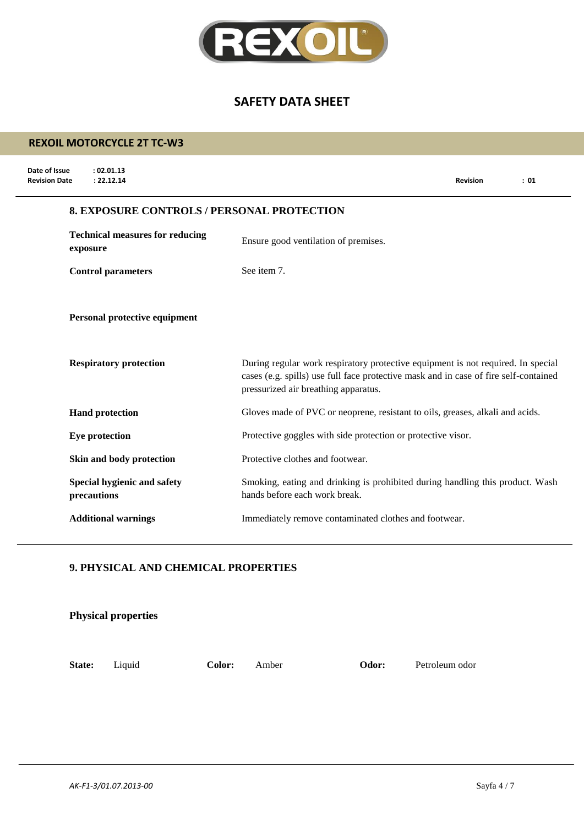

## **REXOIL MOTORCYCLE 2T TC-W3**

| Date of Issue<br>: 02.01.13<br><b>Revision Date</b><br>: 22.12.14 | <b>Revision</b><br>: 01                                                                                                                                                                                          |
|-------------------------------------------------------------------|------------------------------------------------------------------------------------------------------------------------------------------------------------------------------------------------------------------|
|                                                                   | <b>8. EXPOSURE CONTROLS / PERSONAL PROTECTION</b>                                                                                                                                                                |
| <b>Technical measures for reducing</b><br>exposure                | Ensure good ventilation of premises.                                                                                                                                                                             |
| <b>Control parameters</b>                                         | See item 7.                                                                                                                                                                                                      |
| Personal protective equipment                                     |                                                                                                                                                                                                                  |
| <b>Respiratory protection</b>                                     | During regular work respiratory protective equipment is not required. In special<br>cases (e.g. spills) use full face protective mask and in case of fire self-contained<br>pressurized air breathing apparatus. |
| <b>Hand protection</b>                                            | Gloves made of PVC or neoprene, resistant to oils, greases, alkali and acids.                                                                                                                                    |
| Eye protection                                                    | Protective goggles with side protection or protective visor.                                                                                                                                                     |
| Skin and body protection                                          | Protective clothes and footwear.                                                                                                                                                                                 |
| Special hygienic and safety<br>precautions                        | Smoking, eating and drinking is prohibited during handling this product. Wash<br>hands before each work break.                                                                                                   |
| <b>Additional warnings</b>                                        | Immediately remove contaminated clothes and footwear.                                                                                                                                                            |

## **9. PHYSICAL AND CHEMICAL PROPERTIES**

|        | <b>Physical properties</b> |        |       |       |                |
|--------|----------------------------|--------|-------|-------|----------------|
| State: | Liquid                     | Color: | Amber | Odor: | Petroleum odor |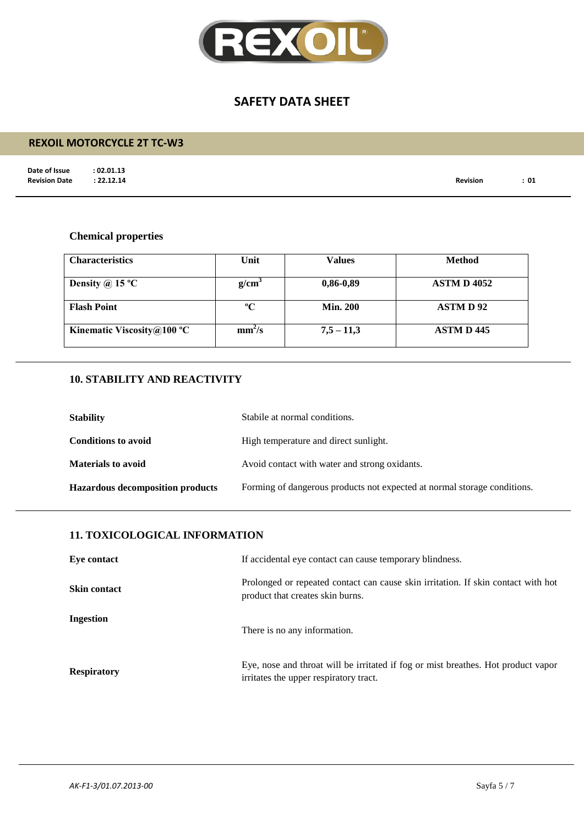

## **REXOIL MOTORCYCLE 2T TC-W3**

**Date of Issue : 02.01.13<br>Revision Date : 22.12.14** 

**Revision Date : 22.12.14 Revision : 01**

## **Chemical properties**

| <b>Characteristics</b>     | Unit               | Values          | <b>Method</b>      |
|----------------------------|--------------------|-----------------|--------------------|
| Density @ 15 $^{\circ}$ C  | g/cm <sup>3</sup>  | $0,86-0,89$     | <b>ASTM D 4052</b> |
| <b>Flash Point</b>         | $\rm ^{o}C$        | <b>Min. 200</b> | <b>ASTMD92</b>     |
| Kinematic Viscosity@100 °C | mm <sup>2</sup> /s | $7,5 - 11,3$    | <b>ASTM D 445</b>  |

## **10. STABILITY AND REACTIVITY**

| <b>Stability</b>                        | Stabile at normal conditions.                                            |
|-----------------------------------------|--------------------------------------------------------------------------|
| <b>Conditions to avoid</b>              | High temperature and direct sunlight.                                    |
| <b>Materials to avoid</b>               | Avoid contact with water and strong oxidants.                            |
| <b>Hazardous decomposition products</b> | Forming of dangerous products not expected at normal storage conditions. |

## **11. TOXICOLOGICAL INFORMATION**

| Eye contact         | If accidental eye contact can cause temporary blindness.                                                                    |
|---------------------|-----------------------------------------------------------------------------------------------------------------------------|
| <b>Skin contact</b> | Prolonged or repeated contact can cause skin irritation. If skin contact with hot<br>product that creates skin burns.       |
| Ingestion           | There is no any information.                                                                                                |
| <b>Respiratory</b>  | Eye, nose and throat will be irritated if fog or mist breathes. Hot product vapor<br>irritates the upper respiratory tract. |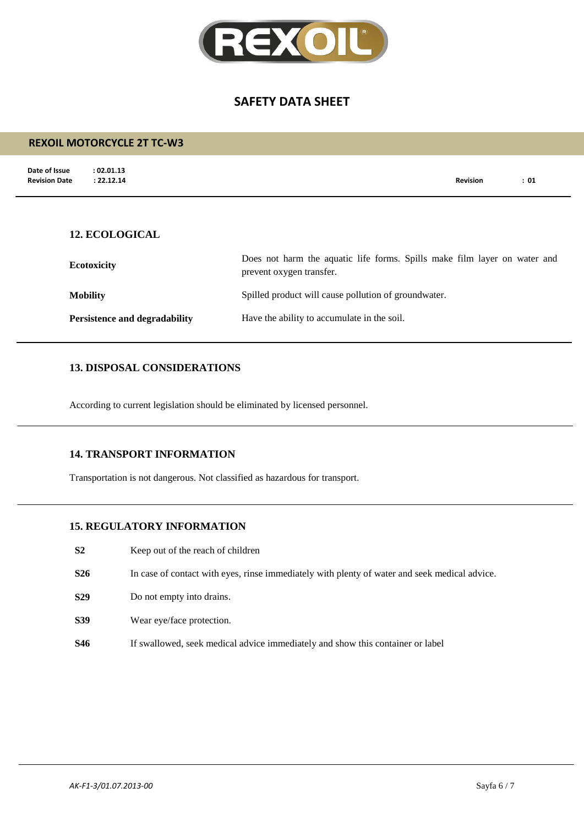

# **Date of Issue : 02.01.13 Revision Date : 22.12.14 Revision : 01 REXOIL MOTORCYCLE 2T TC-W3 12. ECOLOGICAL Ecotoxicity** Does not harm the aquatic life forms. Spills make film layer on water and prevent oxygen transfer. **Mobility** Spilled product will cause pollution of groundwater.

**Persistence and degradability** Have the ability to accumulate in the soil.

## **13. DISPOSAL CONSIDERATIONS**

According to current legislation should be eliminated by licensed personnel.

#### **14. TRANSPORT INFORMATION**

Transportation is not dangerous. Not classified as hazardous for transport.

#### **15. REGULATORY INFORMATION**

- **S2** Keep out of the reach of children
- **S26** In case of contact with eyes, rinse immediately with plenty of water and seek medical advice.
- **S29** Do not empty into drains.
- **S39** Wear eye/face protection.
- **S46** If swallowed, seek medical advice immediately and show this container or label